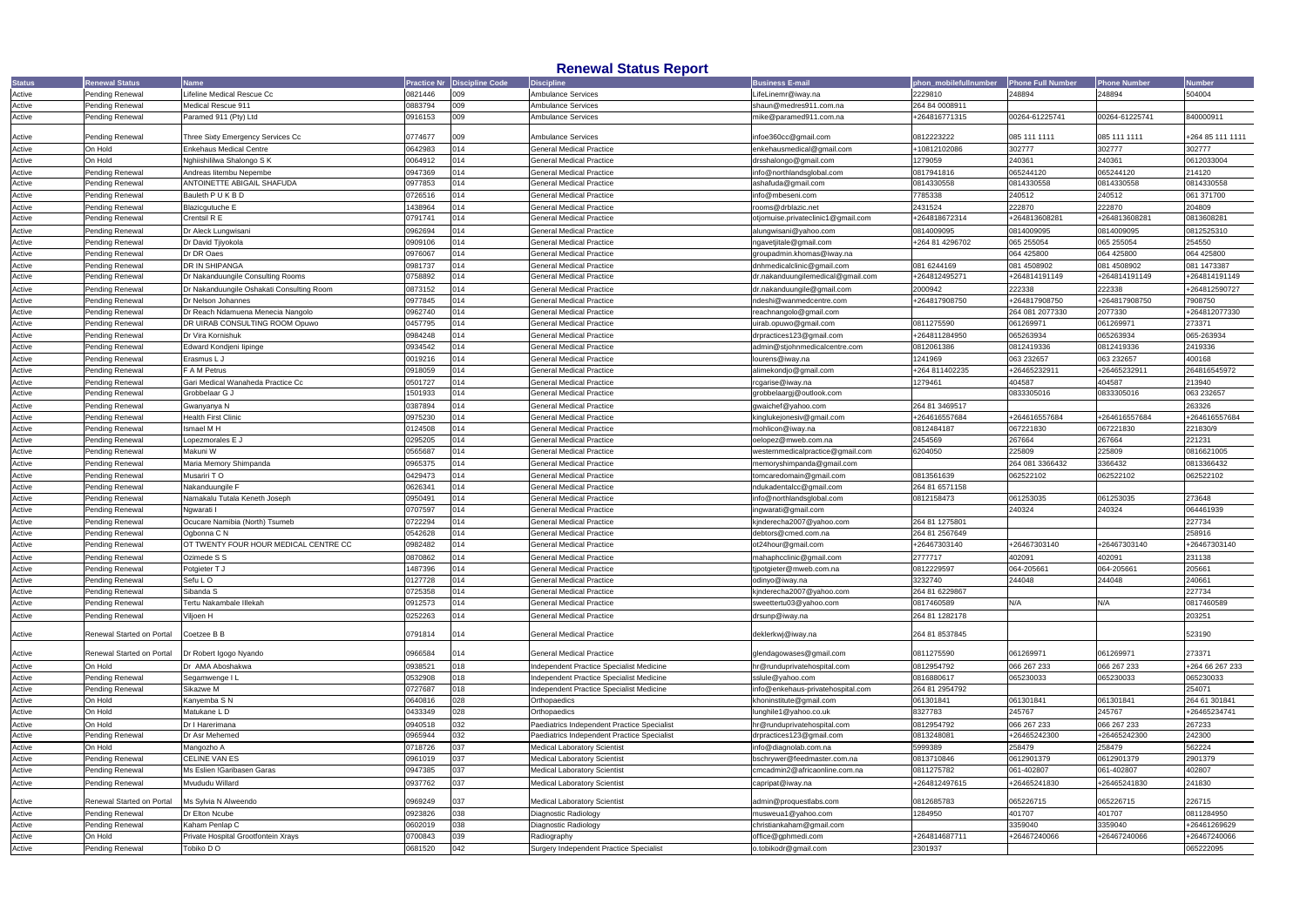|                  |                           |                                           |                                              | Honomal Status Report                          |                                    |                       |                          |                     |                  |
|------------------|---------------------------|-------------------------------------------|----------------------------------------------|------------------------------------------------|------------------------------------|-----------------------|--------------------------|---------------------|------------------|
| <b>Status</b>    | enewal Status             | <b>Name</b>                               | <b>Discipline Code</b><br><b>Practice Nr</b> | <b>Discipline</b>                              | <b>Business E-mail</b>             | phon mobilefullnumber | <b>Phone Full Number</b> | <b>Phone Number</b> | <b>lumber</b>    |
| Active           | Pending Renewal           | Lifeline Medical Rescue Cc                | 0821446<br>009                               | <b>Ambulance Services</b>                      | LifeLinemr@iway.na                 | 2229810               | 248894                   | 248894              | 504004           |
| Active           | Pending Renewal           | Medical Rescue 911                        | 0883794<br>009                               | Ambulance Services                             | shaun@medres911.com.na             | 264 84 0008911        |                          |                     |                  |
| Active           | Pending Renewal           | Paramed 911 (Pty) Ltd                     | 009<br>0916153                               | <b>Ambulance Services</b>                      | mike@paramed911.com.na             | +264816771315         | 00264-61225741           | 00264-61225741      | 840000911        |
|                  |                           |                                           |                                              |                                                |                                    |                       |                          |                     |                  |
| Active           | Pending Renewal           | Three Sixty Emergency Services Cc         | 0774677<br>009                               | <b>Ambulance Services</b>                      | infoe360cc@gmail.com               | 0812223222            | 085 111 1111             | 085 111 1111        | +264 85 111 1111 |
| Active           | On Hold                   | <b>Enkehaus Medical Centre</b>            | 014<br>0642983                               | <b>General Medical Practice</b>                | enkehausmedical@gmail.com          | +10812102086          | 302777                   | 302777              | 302777           |
| Active           | On Hold                   | Nghiishililwa Shalongo S K                | 0064912<br>014                               | <b>General Medical Practice</b>                | drsshalongo@gmail.com              | 1279059               | 240361                   | 240361              | 0612033004       |
| Active           | Pending Renewal           | Andreas litembu Nepembe                   | 0947369<br>014                               | General Medical Practice                       | info@northlandsglobal.com          | 0817941816            | 065244120                | 065244120           | 214120           |
| Active           | Pending Renewal           | ANTOINETTE ABIGAIL SHAFUDA                | 014<br>0977853                               | <b>General Medical Practice</b>                | ashafuda@gmail.com                 | 0814330558            | 0814330558               | 0814330558          | 0814330558       |
| Active           | Pending Renewal           | Bauleth P U K B D                         | 0726516<br>014                               | <b>General Medical Practice</b>                | info@mbeseni.com                   | 7785338               | 240512                   | 240512              | 061 371700       |
| Active           | Pending Renewal           | Blazicgutuche E                           | 1438964<br>014                               | <b>General Medical Practice</b>                | rooms@drblazic.net                 | 2431524               | 222870                   | 222870              | 204809           |
| Active           | Pending Renewal           | Crentsil R E                              | 0791741<br>014                               | <b>General Medical Practice</b>                | otjomuise.privateclinic1@gmail.com | +264818672314         | +264813608281            | +264813608281       | 0813608281       |
| Active           | Pending Renewal           | Dr Aleck Lungwisani                       | 014<br>0962694                               | <b>General Medical Practice</b>                | alungwisani@yahoo.com              | 0814009095            | 0814009095               | 0814009095          | 0812525310       |
|                  | Pending Renewal           |                                           | 014<br>0909106                               | <b>General Medical Practice</b>                | ngavetjitale@gmail.com             | +264 81 4296702       | 065 255054               | 065 255054          | 254550           |
| Active<br>Active | Pending Renewal           | Dr David Tjiyokola<br>Dr DR Oaes          | 0976067<br>014                               | <b>General Medical Practice</b>                | groupadmin.khomas@iway.na          |                       | 064 425800               | 064 425800          | 064 425800       |
|                  |                           |                                           |                                              |                                                |                                    |                       |                          |                     |                  |
| Active           | Pending Renewal           | DR IN SHIPANGA                            | 0981737<br>014                               | <b>General Medical Practice</b>                | dnhmedicalclinic@gmail.com         | 081 6244169           | 081 4508902              | 081 4508902         | 081 1473387      |
| Active           | Pending Renewal           | Dr Nakanduungile Consulting Rooms         | 014<br>0758892                               | General Medical Practice                       | dr.nakanduungilemedical@gmail.com  | +264812495271         | +264814191149            | +264814191149       | +264814191149    |
| Active           | Pending Renewal           | Dr Nakanduungile Oshakati Consulting Room | 0873152<br>014                               | <b>General Medical Practice</b>                | dr.nakanduungile@gmail.com         | 2000942               | 222338                   | 222338              | +264812590727    |
| Active           | Pending Renewal           | Dr Nelson Johannes                        | 0977845<br>014                               | <b>General Medical Practice</b>                | ndeshi@wanmedcentre.com            | +264817908750         | +264817908750            | +264817908750       | 7908750          |
| Active           | Pending Renewal           | Dr Reach Ndamuena Menecia Nangolo         | 0962740<br>014                               | <b>General Medical Practice</b>                | reachnangolo@gmail.com             |                       | 264 081 2077330          | 2077330             | +264812077330    |
| Active           | Pending Renewal           | DR UIRAB CONSULTING ROOM Opuwo            | 014<br>0457795                               | <b>General Medical Practice</b>                | uirab.opuwo@gmail.com              | 0811275590            | 061269971                | 061269971           | 273371           |
| Active           | Pending Renewal           | Dr Vira Kornishuk                         | 014<br>0984248                               | <b>General Medical Practice</b>                | drpractices123@gmail.com           | +264811284950         | 065263934                | 065263934           | 065-263934       |
| Active           | Pending Renewal           | Edward Kondjeni lipinge                   | 0934542<br>014                               | <b>General Medical Practice</b>                | admin@stjohnmedicalcentre.com      | 0812061386            | 0812419336               | 0812419336          | 2419336          |
| Active           | Pending Renewal           | Erasmus L J                               | 0019216<br>014                               | <b>General Medical Practice</b>                | lourens@iway.na                    | 1241969               | 063 232657               | 063 232657          | 400168           |
| Active           | Pending Renewal           | F A M Petrus                              | 014<br>0918059                               | <b>General Medical Practice</b>                | alimekondjo@gmail.com              | +264 811402235        | +26465232911             | +26465232911        | 264816545972     |
| Active           | Pending Renewal           | Gari Medical Wanaheda Practice Cc         | 0501727<br>014                               | <b>General Medical Practice</b>                | rcgarise@iway.na                   | 1279461               | 404587                   | 404587              | 213940           |
| Active           | Pending Renewal           | Grobbelaar G J                            | 014<br>1501933                               | <b>General Medical Practice</b>                | grobbelaargj@outlook.com           |                       | 0833305016               | 0833305016          | 063 232657       |
| Active           | Pending Renewal           | Gwanyanya N                               | 0387894<br>014                               | <b>General Medical Practice</b>                | gwaichef@yahoo.com                 | 264 81 3469517        |                          |                     | 263326           |
| Active           | Pending Renewal           | Health First Clinic                       | 0975230<br>014                               | <b>General Medical Practice</b>                | kinglukejonesiv@gmail.com          | +264616557684         | +264616557684            | +264616557684       | +264616557684    |
| Active           | Pending Renewal           | Ismael M H                                | 0124508<br>014                               | General Medical Practice                       | mohlicon@iway.na                   | 0812484187            | 067221830                | 067221830           | 221830/9         |
| Active           | Pending Renewal           | Lopezmorales E J                          | 014<br>0295205                               | <b>General Medical Practice</b>                | oelopez@mweb.com.na                | 2454569               | 267664                   | 267664              | 221231           |
| Active           | Pending Renewal           | Makuni W                                  | 0565687<br>014                               | <b>General Medical Practice</b>                | westernmedicalpractice@gmail.com   | 6204050               | 225809                   | 225809              | 0816621005       |
| Active           | Pending Renewal           | Maria Memory Shimpanda                    | 0965375<br>014                               | <b>General Medical Practice</b>                | memoryshimpanda@gmail.com          |                       | 264 081 3366432          | 3366432             | 0813366432       |
|                  |                           |                                           |                                              |                                                |                                    |                       |                          |                     |                  |
| Active           | Pending Renewal           | Musariri T O                              | 0429473<br>014                               | <b>General Medical Practice</b>                | tomcaredomain@gmail.com            | 0813561639            | 062522102                | 062522102           | 062522102        |
| Active           | Pending Renewal           | Nakanduungile F                           | 014<br>0626341                               | General Medical Practice                       | ndukadentalcc@gmail.com            | 264 81 6571158        |                          |                     |                  |
| Active           | Pending Renewal           | Namakalu Tutala Keneth Joseph             | 014<br>0950491                               | <b>General Medical Practice</b>                | info@northlandsglobal.com          | 0812158473            | 061253035                | 061253035           | 273648           |
| Active           | Pending Renewal           | Ngwarati I                                | 0707597<br>014                               | <b>General Medical Practice</b>                | ingwarati@gmail.com                |                       | 240324                   | 240324              | 064461939        |
| Active           | Pending Renewal           | Ocucare Namibia (North) Tsumeb            | 014<br>0722294                               | <b>General Medical Practice</b>                | kjnderecha2007@yahoo.com           | 264 81 1275801        |                          |                     | 227734           |
| Active           | Pending Renewal           | Ogbonna C N                               | 0542628<br>014                               | <b>General Medical Practice</b>                | debtors@cmed.com.na                | 264 81 2567649        |                          |                     | 258916           |
| Active           | Pending Renewal           | OT TWENTY FOUR HOUR MEDICAL CENTRE CC     | 0982482<br>014                               | <b>General Medical Practice</b>                | ot24hour@gmail.com                 | +26467303140          | +26467303140             | +26467303140        | +26467303140     |
| Active           | Pending Renewal           | Ozimede S S                               | 0870862<br>014                               | <b>General Medical Practice</b>                | mahaphcclinic@gmail.com            | 2777717               | 402091                   | 402091              | 231138           |
| Active           | <b>Pending Renewal</b>    | Potgieter T J                             | 1487396<br>014                               | General Medical Practice                       | tipotgieter@mweb.com.na            | 0812229597            | 064-205661               | 064-205661          | 205661           |
| Active           | Pending Renewal           | Sefu LO                                   | 0127728<br>014                               | <b>General Medical Practice</b>                | odinyo@iway.na                     | 3232740               | 244048                   | 244048              | 240661           |
| Active           | Pending Renewal           | Sibanda S                                 | 0725358<br>014                               | <b>General Medical Practice</b>                | kjnderecha2007@yahoo.com           | 264 81 6229867        |                          |                     | 227734           |
| Active           | Pending Renewal           | Tertu Nakambale Illekah                   | 0912573<br>014                               | <b>General Medical Practice</b>                | sweettertu03@yahoo.com             | 0817460589            | N/A                      | N/A                 | 0817460589       |
| Active           | Pending Renewal           | Viljoen H                                 | 014<br>0252263                               | <b>General Medical Practice</b>                | drsunp@iway.na                     | 264 81 1282178        |                          |                     | 203251           |
|                  |                           |                                           |                                              |                                                |                                    |                       |                          |                     |                  |
| Active           | Renewal Started on Portal | Coetzee B B                               | 0791814<br>014                               | <b>General Medical Practice</b>                | deklerkwj@iway.na                  | 264 81 8537845        |                          |                     | 523190           |
|                  | Renewal Started on Portal |                                           |                                              | <b>General Medical Practice</b>                | glendagowases@gmail.com            |                       |                          | 061269971           | 273371           |
| Active           |                           | Dr Robert Igogo Nyando                    | 0966584<br>014                               |                                                |                                    | 0811275590            | 061269971                |                     |                  |
| Active           | On Hold                   | Dr AMA Aboshakwa                          | 018<br>0938521                               | Independent Practice Specialist Medicine       | hr@runduprivatehospital.com        | 0812954792            | 066 267 233              | 066 267 233         | +264 66 267 233  |
| Active           | Pending Renewal           | Segamwenge I L                            | 018<br>0532908                               | Independent Practice Specialist Medicine       | sslule@yahoo.com                   | 0816880617            | 065230033                | 065230033           | 065230033        |
| Active           | Pending Renewal           | Sikazwe M                                 | 0727687<br>018                               | Independent Practice Specialist Medicine       | info@enkehaus-privatehospital.com  | 264 81 2954792        |                          |                     | 254071           |
| Active           | On Hold                   | Kanyemba S N                              | 028<br>0640816                               | Orthopaedics                                   | khoninstitute@gmail.com            | 061301841             | 061301841                | 061301841           | 264 61 301841    |
| Active           | On Hold                   | Matukane L D                              | 028<br>0433349                               | Orthopaedics                                   | lunghile1@yahoo.co.uk              | 8327783               | 245767                   | 245767              | +26465234741     |
| Active           | On Hold                   | Dr I Harerimana                           | 032<br>0940518                               | Paediatrics Independent Practice Specialist    | hr@runduprivatehospital.com        | 0812954792            | 066 267 233              | 066 267 233         | 267233           |
| Active           | Pending Renewal           | Dr Asr Mehemed                            | 032<br>0965944                               | Paediatrics Independent Practice Specialist    | drpractices123@gmail.com           | 0813248081            | +26465242300             | +26465242300        | 242300           |
| Active           | On Hold                   | Mangozho A                                | 037<br>0718726                               | <b>Medical Laboratory Scientist</b>            | info@diagnolab.com.na              | 5999389               | 258479                   | 258479              | 562224           |
| Active           | Pending Renewal           | <b>CELINE VAN ES</b>                      | 037<br>0961019                               | <b>Medical Laboratory Scientist</b>            | bschrywer@feedmaster.com.na        | 0813710846            | 0612901379               | 0612901379          | 2901379          |
| Active           | Pending Renewal           | Ms Eslien !Garibasen Garas                | 037<br>0947385                               | <b>Medical Laboratory Scientist</b>            | cmcadmin2@africaonline.com.na      | 0811275782            | 061-402807               | 061-402807          | 402807           |
| Active           | Pending Renewal           | Mvududu Willard                           | 037<br>0937762                               | <b>Medical Laboratory Scientist</b>            | capripat@iway.na                   | +264812497615         | +26465241830             | +26465241830        | 241830           |
|                  |                           |                                           |                                              |                                                |                                    |                       |                          |                     |                  |
| Active           | Renewal Started on Portal | Ms Sylvia N Alweendo                      | 037<br>0969249                               | <b>Medical Laboratory Scientist</b>            | admin@proquestlabs.com             | 0812685783            | 065226715                | 065226715           | 226715           |
| Active           | Pending Renewal           | Dr Elton Ncube                            | 038<br>0923826                               | Diagnostic Radiology                           | musweua1@yahoo.com                 | 1284950               | 401707                   | 401707              | 0811284950       |
| Active           | <b>Pending Renewal</b>    | Kaham Penlap C                            | 038<br>0602019                               | Diagnostic Radiology                           | christiankaham@gmail.com           |                       | 3359040                  | 3359040             | +26461269629     |
| Active           | On Hold                   | Private Hospital Grootfontein Xrays       | 0700843<br>039                               | Radiography                                    | office@gphmedi.com                 | +264814687711         | +26467240066             | +26467240066        | +26467240066     |
| Active           | Pending Renewal           | Tobiko DO                                 | 042<br>0681520                               | <b>Surgery Independent Practice Specialist</b> | o.tobikodr@gmail.com               | 2301937               |                          |                     | 065222095        |
|                  |                           |                                           |                                              |                                                |                                    |                       |                          |                     |                  |

## **Renewal Status Report**